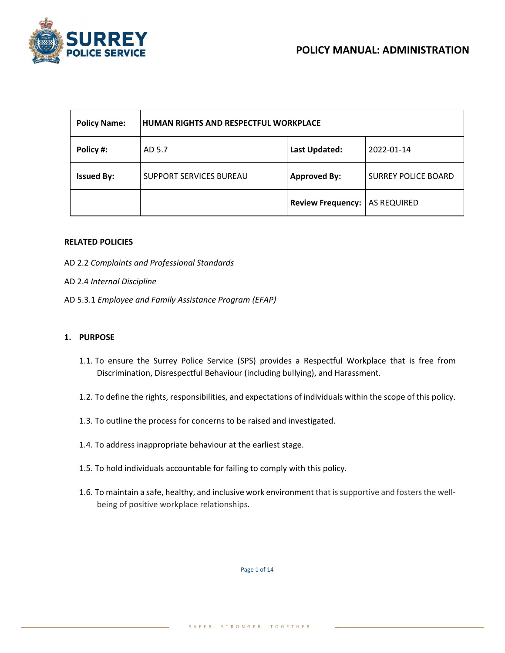

| <b>Policy Name:</b> | <b>HUMAN RIGHTS AND RESPECTFUL WORKPLACE</b> |                          |                            |
|---------------------|----------------------------------------------|--------------------------|----------------------------|
| Policy #:           | AD 5.7                                       | Last Updated:            | 2022-01-14                 |
| <b>Issued By:</b>   | <b>SUPPORT SERVICES BUREAU</b>               | <b>Approved By:</b>      | <b>SURREY POLICE BOARD</b> |
|                     |                                              | <b>Review Frequency:</b> | AS REQUIRED                |

#### **RELATED POLICIES**

- AD 2.2 *Complaints and Professional Standards*
- AD 2.4 *Internal Discipline*
- AD 5.3.1 *Employee and Family Assistance Program (EFAP)*

#### **1. PURPOSE**

- 1.1. To ensure the Surrey Police Service (SPS) provides a Respectful Workplace that is free from Discrimination, Disrespectful Behaviour (including bullying), and Harassment.
- 1.2. To define the rights, responsibilities, and expectations of individuals within the scope of this policy.
- 1.3. To outline the process for concerns to be raised and investigated.
- 1.4. To address inappropriate behaviour at the earliest stage.
- 1.5. To hold individuals accountable for failing to comply with this policy.
- 1.6. To maintain a safe, healthy, and inclusive work environment that is supportive and fosters the wellbeing of positive workplace relationships.

Page 1 of 14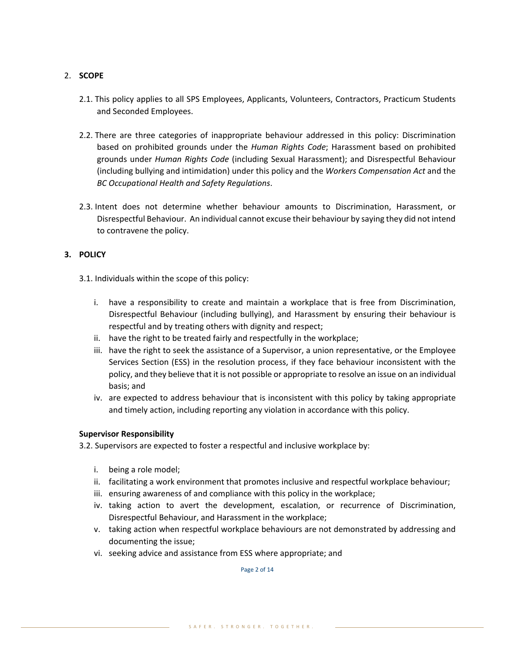# 2. **SCOPE**

- 2.1. This policy applies to all SPS Employees, Applicants, Volunteers, Contractors, Practicum Students and Seconded Employees.
- 2.2. There are three categories of inappropriate behaviour addressed in this policy: Discrimination based on prohibited grounds under the *Human Rights Code*; Harassment based on prohibited grounds under *Human Rights Code* (including Sexual Harassment); and Disrespectful Behaviour (including bullying and intimidation) under this policy and the *Workers Compensation Act* and the *BC Occupational Health and Safety Regulations*.
- 2.3. Intent does not determine whether behaviour amounts to Discrimination, Harassment, or Disrespectful Behaviour. An individual cannot excuse their behaviour by saying they did not intend to contravene the policy.

# **3. POLICY**

- 3.1. Individuals within the scope of this policy:
	- i. have a responsibility to create and maintain a workplace that is free from Discrimination, Disrespectful Behaviour (including bullying), and Harassment by ensuring their behaviour is respectful and by treating others with dignity and respect;
	- ii. have the right to be treated fairly and respectfully in the workplace;
	- iii. have the right to seek the assistance of a Supervisor, a union representative, or the Employee Services Section (ESS) in the resolution process, if they face behaviour inconsistent with the policy, and they believe that it is not possible or appropriate to resolve an issue on an individual basis; and
	- iv. are expected to address behaviour that is inconsistent with this policy by taking appropriate and timely action, including reporting any violation in accordance with this policy.

## **Supervisor Responsibility**

- 3.2. Supervisors are expected to foster a respectful and inclusive workplace by:
	- i. being a role model;
	- ii. facilitating a work environment that promotes inclusive and respectful workplace behaviour;
	- iii. ensuring awareness of and compliance with this policy in the workplace;
	- iv. taking action to avert the development, escalation, or recurrence of Discrimination, Disrespectful Behaviour, and Harassment in the workplace;
	- v. taking action when respectful workplace behaviours are not demonstrated by addressing and documenting the issue;
	- vi. seeking advice and assistance from ESS where appropriate; and

Page 2 of 14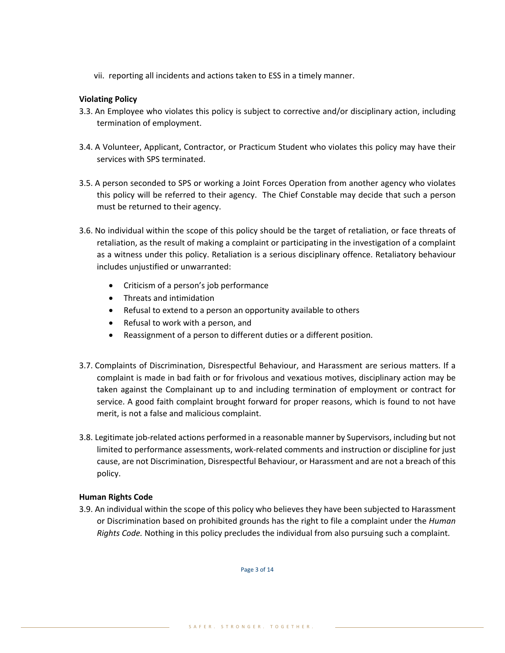vii. reporting all incidents and actions taken to ESS in a timely manner.

### **Violating Policy**

- 3.3. An Employee who violates this policy is subject to corrective and/or disciplinary action, including termination of employment.
- 3.4. A Volunteer, Applicant, Contractor, or Practicum Student who violates this policy may have their services with SPS terminated.
- 3.5. A person seconded to SPS or working a Joint Forces Operation from another agency who violates this policy will be referred to their agency. The Chief Constable may decide that such a person must be returned to their agency.
- 3.6. No individual within the scope of this policy should be the target of retaliation, or face threats of retaliation, as the result of making a complaint or participating in the investigation of a complaint as a witness under this policy. Retaliation is a serious disciplinary offence. Retaliatory behaviour includes unjustified or unwarranted:
	- Criticism of a person's job performance
	- Threats and intimidation
	- Refusal to extend to a person an opportunity available to others
	- Refusal to work with a person, and
	- Reassignment of a person to different duties or a different position.
- 3.7. Complaints of Discrimination, Disrespectful Behaviour, and Harassment are serious matters. If a complaint is made in bad faith or for frivolous and vexatious motives, disciplinary action may be taken against the Complainant up to and including termination of employment or contract for service. A good faith complaint brought forward for proper reasons, which is found to not have merit, is not a false and malicious complaint.
- 3.8. Legitimate job-related actions performed in a reasonable manner by Supervisors, including but not limited to performance assessments, work-related comments and instruction or discipline for just cause, are not Discrimination, Disrespectful Behaviour, or Harassment and are not a breach of this policy.

#### **Human Rights Code**

3.9. An individual within the scope of this policy who believes they have been subjected to Harassment or Discrimination based on prohibited grounds has the right to file a complaint under the *Human Rights Code.* Nothing in this policy precludes the individual from also pursuing such a complaint.

Page 3 of 14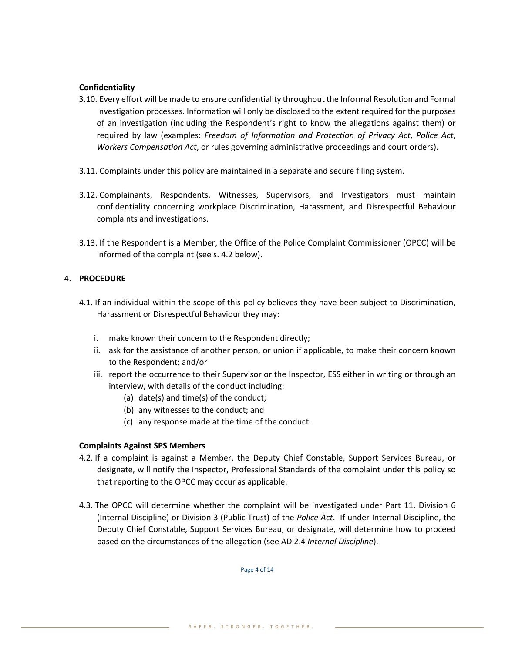## **Confidentiality**

- 3.10. Every effort will be made to ensure confidentiality throughout the Informal Resolution and Formal Investigation processes. Information will only be disclosed to the extent required for the purposes of an investigation (including the Respondent's right to know the allegations against them) or required by law (examples: *Freedom of Information and Protection of Privacy Act*, *Police Act*, *Workers Compensation Act*, or rules governing administrative proceedings and court orders).
- 3.11. Complaints under this policy are maintained in a separate and secure filing system.
- 3.12. Complainants, Respondents, Witnesses, Supervisors, and Investigators must maintain confidentiality concerning workplace Discrimination, Harassment, and Disrespectful Behaviour complaints and investigations.
- 3.13. If the Respondent is a Member, the Office of the Police Complaint Commissioner (OPCC) will be informed of the complaint (see s. 4.2 below).

## 4. **PROCEDURE**

- 4.1. If an individual within the scope of this policy believes they have been subject to Discrimination, Harassment or Disrespectful Behaviour they may:
	- i. make known their concern to the Respondent directly;
	- ii. ask for the assistance of another person, or union if applicable, to make their concern known to the Respondent; and/or
	- iii. report the occurrence to their Supervisor or the Inspector, ESS either in writing or through an interview, with details of the conduct including:
		- (a) date(s) and time(s) of the conduct;
		- (b) any witnesses to the conduct; and
		- (c) any response made at the time of the conduct.

## **Complaints Against SPS Members**

- 4.2. If a complaint is against a Member, the Deputy Chief Constable, Support Services Bureau, or designate, will notify the Inspector, Professional Standards of the complaint under this policy so that reporting to the OPCC may occur as applicable.
- 4.3. The OPCC will determine whether the complaint will be investigated under Part 11, Division 6 (Internal Discipline) or Division 3 (Public Trust) of the *Police Act*. If under Internal Discipline, the Deputy Chief Constable, Support Services Bureau, or designate, will determine how to proceed based on the circumstances of the allegation (see AD 2.4 *Internal Discipline*).

Page 4 of 14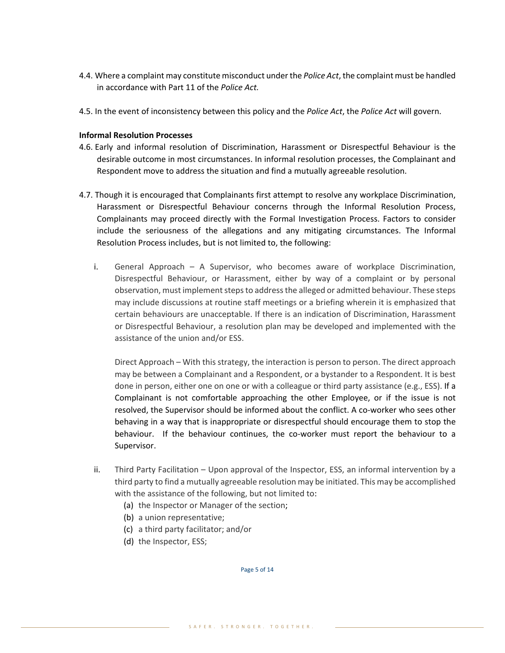- 4.4. Where a complaint may constitute misconduct under the *Police Act*, the complaint must be handled in accordance with Part 11 of the *Police Act.*
- 4.5. In the event of inconsistency between this policy and the *Police Act*, the *Police Act* will govern.

## **Informal Resolution Processes**

- 4.6. Early and informal resolution of Discrimination, Harassment or Disrespectful Behaviour is the desirable outcome in most circumstances. In informal resolution processes, the Complainant and Respondent move to address the situation and find a mutually agreeable resolution.
- 4.7. Though it is encouraged that Complainants first attempt to resolve any workplace Discrimination, Harassment or Disrespectful Behaviour concerns through the Informal Resolution Process, Complainants may proceed directly with the Formal Investigation Process. Factors to consider include the seriousness of the allegations and any mitigating circumstances. The Informal Resolution Process includes, but is not limited to, the following:
	- i. General Approach A Supervisor, who becomes aware of workplace Discrimination, Disrespectful Behaviour, or Harassment, either by way of a complaint or by personal observation, must implement steps to addressthe alleged or admitted behaviour. These steps may include discussions at routine staff meetings or a briefing wherein it is emphasized that certain behaviours are unacceptable. If there is an indication of Discrimination, Harassment or Disrespectful Behaviour, a resolution plan may be developed and implemented with the assistance of the union and/or ESS.

Direct Approach – With this strategy, the interaction is person to person. The direct approach may be between a Complainant and a Respondent, or a bystander to a Respondent. It is best done in person, either one on one or with a colleague or third party assistance (e.g., ESS). If a Complainant is not comfortable approaching the other Employee, or if the issue is not resolved, the Supervisor should be informed about the conflict. A co-worker who sees other behaving in a way that is inappropriate or disrespectful should encourage them to stop the behaviour. If the behaviour continues, the co-worker must report the behaviour to a Supervisor.

- ii. Third Party Facilitation Upon approval of the Inspector, ESS, an informal intervention by a third party to find a mutually agreeable resolution may be initiated. This may be accomplished with the assistance of the following, but not limited to:
	- (a) the Inspector or Manager of the section;
	- (b) a union representative;
	- (c) a third party facilitator; and/or
	- (d) the Inspector, ESS;

Page 5 of 14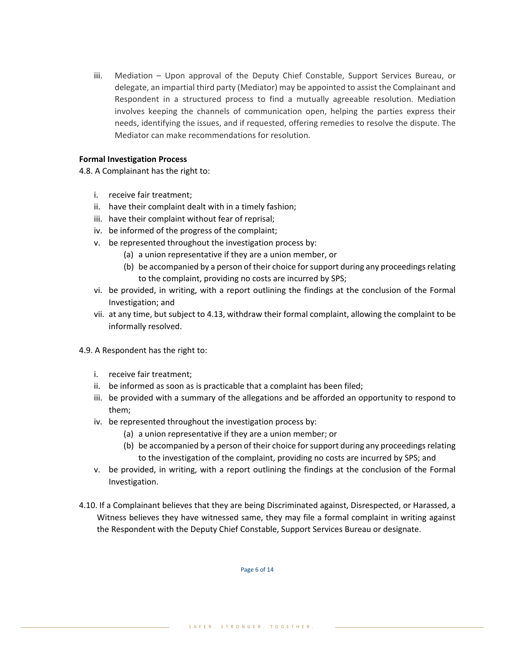iii. Mediation – Upon approval of the Deputy Chief Constable, Support Services Bureau, or delegate, an impartial third party (Mediator) may be appointed to assist the Complainant and Respondent in a structured process to find a mutually agreeable resolution. Mediation involves keeping the channels of communication open, helping the parties express their needs, identifying the issues, and if requested, offering remedies to resolve the dispute. The Mediator can make recommendations for resolution.

### **Formal Investigation Process**

4.8. A Complainant has the right to:

- i. receive fair treatment;
- ii. have their complaint dealt with in a timely fashion;
- iii. have their complaint without fear of reprisal;
- iv. be informed of the progress of the complaint;
- v. be represented throughout the investigation process by:
	- (a) a union representative if they are a union member, or
	- (b) be accompanied by a person of their choice for support during any proceedings relating to the complaint, providing no costs are incurred by SPS;
- vi. be provided, in writing, with a report outlining the findings at the conclusion of the Formal Investigation; and
- vii. at any time, but subject to 4.13, withdraw their formal complaint, allowing the complaint to be informally resolved.
- 4.9. A Respondent has the right to:
	- i. receive fair treatment;
	- ii. be informed as soon as is practicable that a complaint has been filed;
	- iii. be provided with a summary of the allegations and be afforded an opportunity to respond to them;
	- iv. be represented throughout the investigation process by:
		- (a) a union representative if they are a union member; or
		- (b) be accompanied by a person of their choice for support during any proceedings relating to the investigation of the complaint, providing no costs are incurred by SPS; and
	- v. be provided, in writing, with a report outlining the findings at the conclusion of the Formal Investigation.
- 4.10. If a Complainant believes that they are being Discriminated against, Disrespected, or Harassed, a Witness believes they have witnessed same, they may file a formal complaint in writing against the Respondent with the Deputy Chief Constable, Support Services Bureau or designate.

Page 6 of 14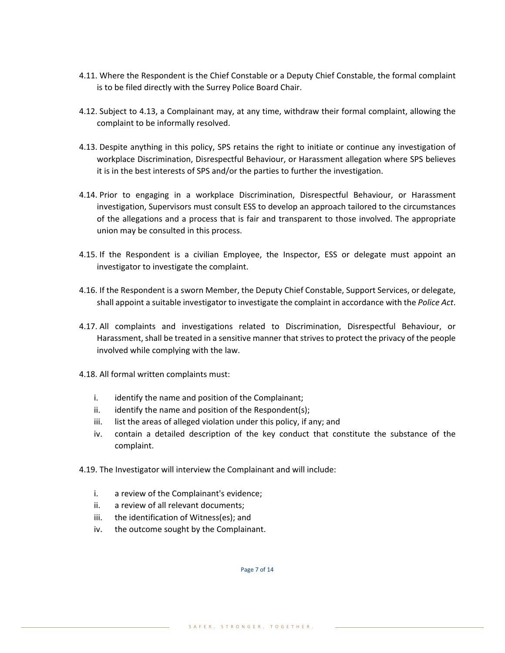- 4.11. Where the Respondent is the Chief Constable or a Deputy Chief Constable, the formal complaint is to be filed directly with the Surrey Police Board Chair.
- 4.12. Subject to 4.13, a Complainant may, at any time, withdraw their formal complaint, allowing the complaint to be informally resolved.
- 4.13. Despite anything in this policy, SPS retains the right to initiate or continue any investigation of workplace Discrimination, Disrespectful Behaviour, or Harassment allegation where SPS believes it is in the best interests of SPS and/or the parties to further the investigation.
- 4.14. Prior to engaging in a workplace Discrimination, Disrespectful Behaviour, or Harassment investigation, Supervisors must consult ESS to develop an approach tailored to the circumstances of the allegations and a process that is fair and transparent to those involved. The appropriate union may be consulted in this process.
- 4.15. If the Respondent is a civilian Employee, the Inspector, ESS or delegate must appoint an investigator to investigate the complaint.
- 4.16. If the Respondent is a sworn Member, the Deputy Chief Constable, Support Services, or delegate, shall appoint a suitable investigator to investigate the complaint in accordance with the *Police Act*.
- 4.17. All complaints and investigations related to Discrimination, Disrespectful Behaviour, or Harassment, shall be treated in a sensitive manner that strives to protect the privacy of the people involved while complying with the law.
- 4.18. All formal written complaints must:
	- i. identify the name and position of the Complainant;
	- ii. identify the name and position of the Respondent(s);
	- iii. list the areas of alleged violation under this policy, if any; and
	- iv. contain a detailed description of the key conduct that constitute the substance of the complaint.
- 4.19. The Investigator will interview the Complainant and will include:
	- i. a review of the Complainant's evidence;
	- ii. a review of all relevant documents;
	- iii. the identification of Witness(es); and
	- iv. the outcome sought by the Complainant.

Page 7 of 14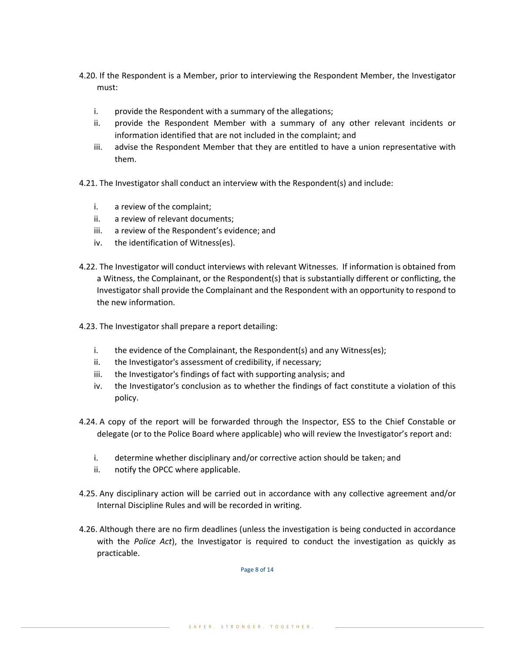- 4.20. If the Respondent is a Member, prior to interviewing the Respondent Member, the Investigator must:
	- i. provide the Respondent with a summary of the allegations;
	- ii. provide the Respondent Member with a summary of any other relevant incidents or information identified that are not included in the complaint; and
	- iii. advise the Respondent Member that they are entitled to have a union representative with them.
- 4.21. The Investigator shall conduct an interview with the Respondent(s) and include:
	- i. a review of the complaint;
	- ii. a review of relevant documents;
	- iii. a review of the Respondent's evidence; and
	- iv. the identification of Witness(es).
- 4.22. The Investigator will conduct interviews with relevant Witnesses. If information is obtained from a Witness, the Complainant, or the Respondent(s) that is substantially different or conflicting, the Investigator shall provide the Complainant and the Respondent with an opportunity to respond to the new information.
- 4.23. The Investigator shall prepare a report detailing:
	- i. the evidence of the Complainant, the Respondent(s) and any Witness(es);
	- ii. the Investigator's assessment of credibility, if necessary;
	- iii. the Investigator's findings of fact with supporting analysis; and
	- iv. the Investigator's conclusion as to whether the findings of fact constitute a violation of this policy.
- 4.24. A copy of the report will be forwarded through the Inspector, ESS to the Chief Constable or delegate (or to the Police Board where applicable) who will review the Investigator's report and:
	- i. determine whether disciplinary and/or corrective action should be taken; and
	- ii. notify the OPCC where applicable.
- 4.25. Any disciplinary action will be carried out in accordance with any collective agreement and/or Internal Discipline Rules and will be recorded in writing.
- 4.26. Although there are no firm deadlines (unless the investigation is being conducted in accordance with the *Police Act*), the Investigator is required to conduct the investigation as quickly as practicable.

Page 8 of 14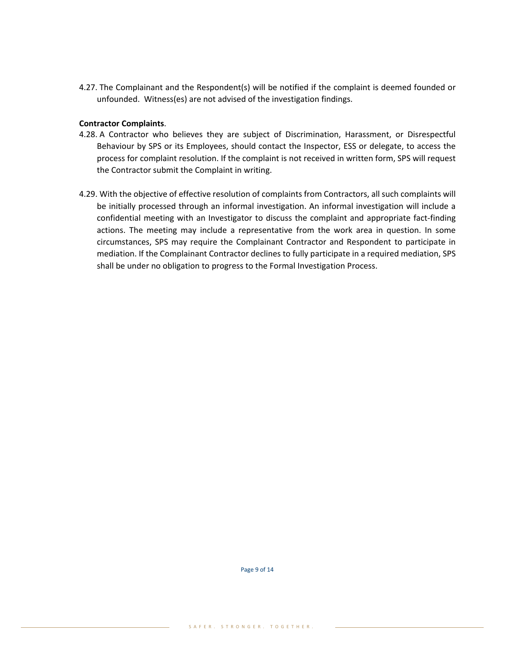4.27. The Complainant and the Respondent(s) will be notified if the complaint is deemed founded or unfounded. Witness(es) are not advised of the investigation findings.

#### **Contractor Complaints**.

- 4.28. A Contractor who believes they are subject of Discrimination, Harassment, or Disrespectful Behaviour by SPS or its Employees, should contact the Inspector, ESS or delegate, to access the process for complaint resolution. If the complaint is not received in written form, SPS will request the Contractor submit the Complaint in writing.
- 4.29. With the objective of effective resolution of complaints from Contractors, all such complaints will be initially processed through an informal investigation. An informal investigation will include a confidential meeting with an Investigator to discuss the complaint and appropriate fact-finding actions. The meeting may include a representative from the work area in question. In some circumstances, SPS may require the Complainant Contractor and Respondent to participate in mediation. If the Complainant Contractor declines to fully participate in a required mediation, SPS shall be under no obligation to progress to the Formal Investigation Process.

Page 9 of 14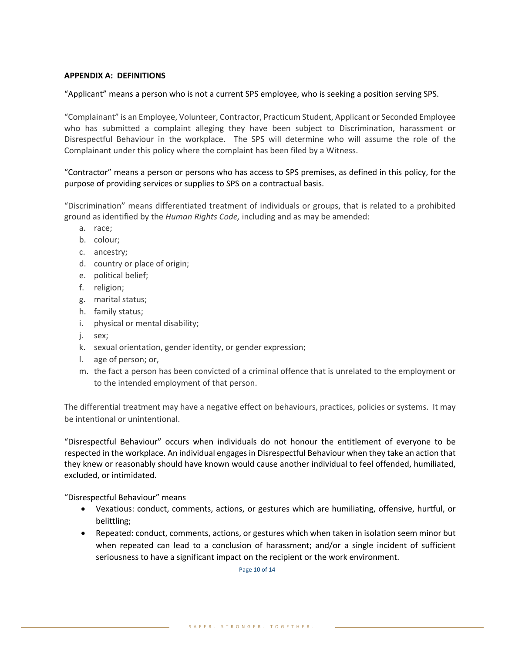#### **APPENDIX A: DEFINITIONS**

"Applicant" means a person who is not a current SPS employee, who is seeking a position serving SPS.

"Complainant" is an Employee, Volunteer, Contractor, Practicum Student, Applicant or Seconded Employee who has submitted a complaint alleging they have been subject to Discrimination, harassment or Disrespectful Behaviour in the workplace. The SPS will determine who will assume the role of the Complainant under this policy where the complaint has been filed by a Witness.

"Contractor" means a person or persons who has access to SPS premises, as defined in this policy, for the purpose of providing services or supplies to SPS on a contractual basis.

"Discrimination" means differentiated treatment of individuals or groups, that is related to a prohibited ground as identified by the *Human Rights Code,* including and as may be amended:

- a. race;
- b. colour;
- c. ancestry;
- d. country or place of origin;
- e. political belief;
- f. religion;
- g. marital status;
- h. family status;
- i. physical or mental disability;
- j. sex;
- k. sexual orientation, gender identity, or gender expression;
- l. age of person; or,
- m. the fact a person has been convicted of a criminal offence that is unrelated to the employment or to the intended employment of that person.

The differential treatment may have a negative effect on behaviours, practices, policies or systems. It may be intentional or unintentional.

"Disrespectful Behaviour" occurs when individuals do not honour the entitlement of everyone to be respected in the workplace. An individual engages in Disrespectful Behaviour when they take an action that they knew or reasonably should have known would cause another individual to feel offended, humiliated, excluded, or intimidated.

"Disrespectful Behaviour" means

- Vexatious: conduct, comments, actions, or gestures which are humiliating, offensive, hurtful, or belittling;
- Repeated: conduct, comments, actions, or gestures which when taken in isolation seem minor but when repeated can lead to a conclusion of harassment; and/or a single incident of sufficient seriousness to have a significant impact on the recipient or the work environment.

Page 10 of 14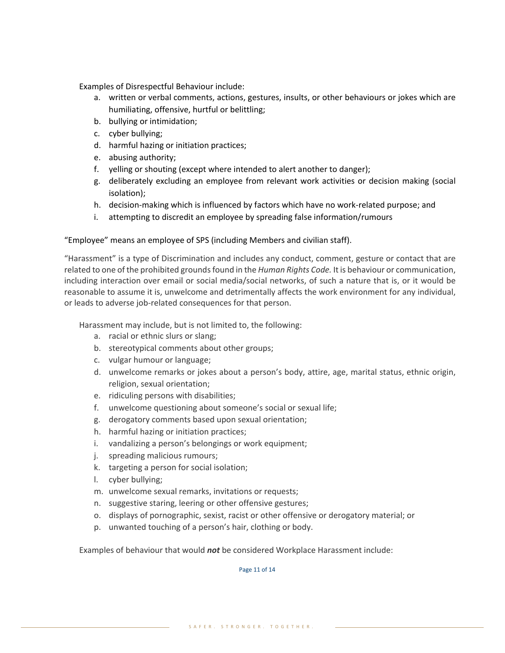Examples of Disrespectful Behaviour include:

- a. written or verbal comments, actions, gestures, insults, or other behaviours or jokes which are humiliating, offensive, hurtful or belittling;
- b. bullying or intimidation;
- c. cyber bullying;
- d. harmful hazing or initiation practices;
- e. abusing authority;
- f. yelling or shouting (except where intended to alert another to danger);
- g. deliberately excluding an employee from relevant work activities or decision making (social isolation);
- h. decision-making which is influenced by factors which have no work-related purpose; and
- i. attempting to discredit an employee by spreading false information/rumours

"Employee" means an employee of SPS (including Members and civilian staff).

"Harassment" is a type of Discrimination and includes any conduct, comment, gesture or contact that are related to one of the prohibited grounds found in the *Human Rights Code.* It is behaviour or communication, including interaction over email or social media/social networks, of such a nature that is, or it would be reasonable to assume it is, unwelcome and detrimentally affects the work environment for any individual, or leads to adverse job-related consequences for that person.

Harassment may include, but is not limited to, the following:

- a. racial or ethnic slurs or slang;
- b. stereotypical comments about other groups;
- c. vulgar humour or language;
- d. unwelcome remarks or jokes about a person's body, attire, age, marital status, ethnic origin, religion, sexual orientation;
- e. ridiculing persons with disabilities;
- f. unwelcome questioning about someone's social or sexual life;
- g. derogatory comments based upon sexual orientation;
- h. harmful hazing or initiation practices;
- i. vandalizing a person's belongings or work equipment;
- j. spreading malicious rumours;
- k. targeting a person for social isolation;
- l. cyber bullying;
- m. unwelcome sexual remarks, invitations or requests;
- n. suggestive staring, leering or other offensive gestures;
- o. displays of pornographic, sexist, racist or other offensive or derogatory material; or
- p. unwanted touching of a person's hair, clothing or body.

Examples of behaviour that would *not* be considered Workplace Harassment include:

Page 11 of 14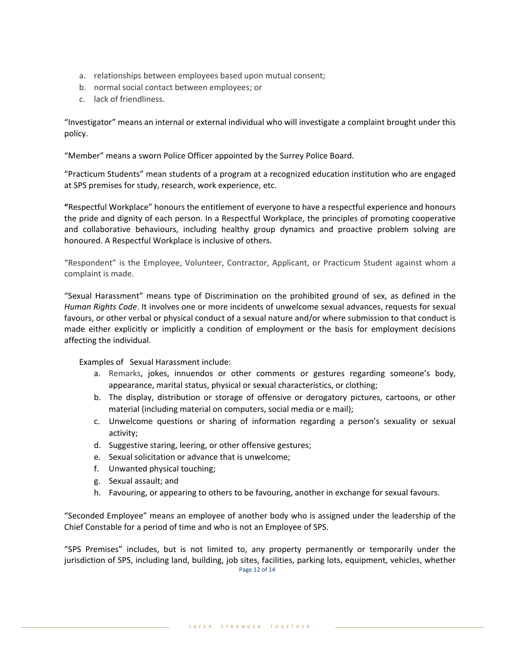- a. relationships between employees based upon mutual consent;
- b. normal social contact between employees; or
- c. lack of friendliness.

"Investigator" means an internal or external individual who will investigate a complaint brought under this policy.

"Member" means a sworn Police Officer appointed by the Surrey Police Board.

"Practicum Students" mean students of a program at a recognized education institution who are engaged at SPS premises for study, research, work experience, etc.

**"**Respectful Workplace" honours the entitlement of everyone to have a respectful experience and honours the pride and dignity of each person. In a Respectful Workplace, the principles of promoting cooperative and collaborative behaviours, including healthy group dynamics and proactive problem solving are honoured. A Respectful Workplace is inclusive of others.

"Respondent" is the Employee, Volunteer, Contractor, Applicant, or Practicum Student against whom a complaint is made.

"Sexual Harassment" means type of Discrimination on the prohibited ground of sex, as defined in the *Human Rights Code*. It involves one or more incidents of unwelcome sexual advances, requests for sexual favours, or other verbal or physical conduct of a sexual nature and/or where submission to that conduct is made either explicitly or implicitly a condition of employment or the basis for employment decisions affecting the individual.

Examples of Sexual Harassment include:

- a. Remarks, jokes, innuendos or other comments or gestures regarding someone's body, appearance, marital status, physical or sexual characteristics, or clothing;
- b. The display, distribution or storage of offensive or derogatory pictures, cartoons, or other material (including material on computers, social media or e mail);
- c. Unwelcome questions or sharing of information regarding a person's sexuality or sexual activity;
- d. Suggestive staring, leering, or other offensive gestures;
- e. Sexual solicitation or advance that is unwelcome;
- f. Unwanted physical touching;
- g. Sexual assault; and
- h. Favouring, or appearing to others to be favouring, another in exchange for sexual favours.

"Seconded Employee" means an employee of another body who is assigned under the leadership of the Chief Constable for a period of time and who is not an Employee of SPS.

Page 12 of 14 "SPS Premises" includes, but is not limited to, any property permanently or temporarily under the jurisdiction of SPS, including land, building, job sites, facilities, parking lots, equipment, vehicles, whether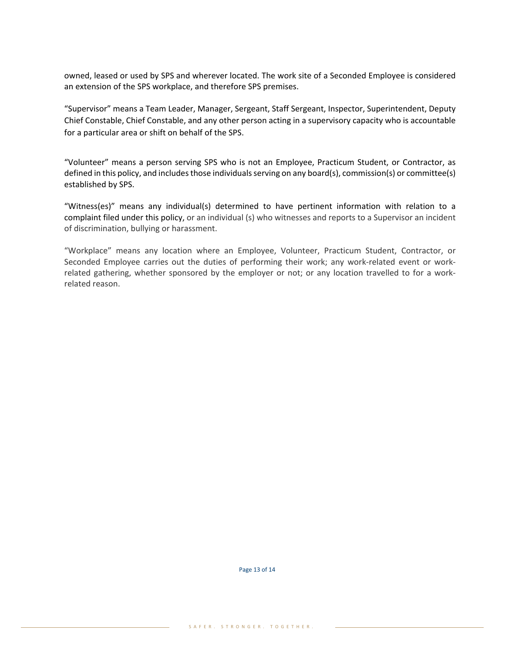owned, leased or used by SPS and wherever located. The work site of a Seconded Employee is considered an extension of the SPS workplace, and therefore SPS premises.

"Supervisor" means a Team Leader, Manager, Sergeant, Staff Sergeant, Inspector, Superintendent, Deputy Chief Constable, Chief Constable, and any other person acting in a supervisory capacity who is accountable for a particular area or shift on behalf of the SPS.

"Volunteer" means a person serving SPS who is not an Employee, Practicum Student, or Contractor, as defined in this policy, and includes those individuals serving on any board(s), commission(s) or committee(s) established by SPS.

"Witness(es)" means any individual(s) determined to have pertinent information with relation to a complaint filed under this policy, or an individual (s) who witnesses and reports to a Supervisor an incident of discrimination, bullying or harassment.

"Workplace" means any location where an Employee, Volunteer, Practicum Student, Contractor, or Seconded Employee carries out the duties of performing their work; any work-related event or workrelated gathering, whether sponsored by the employer or not; or any location travelled to for a workrelated reason.

Page 13 of 14